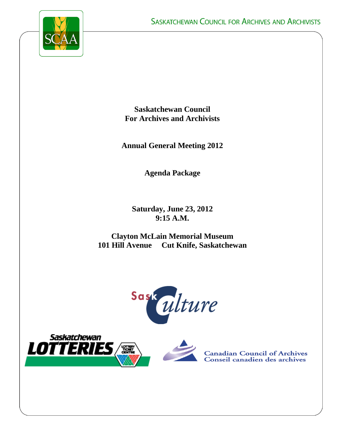

**Saskatchewan Council For Archives and Archivists**

**Annual General Meeting 2012**

**Agenda Package**

**Saturday, June 23, 2012 9:15 A.M.**

**Clayton McLain Memorial Museum 101 Hill Avenue Cut Knife, Saskatchewan**







**Canadian Council of Archives** Conseil canadien des archives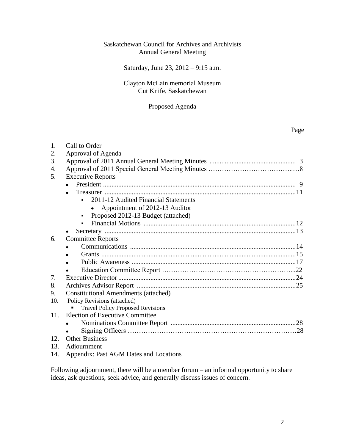## Saskatchewan Council for Archives and Archivists Annual General Meeting

## Saturday, June 23, 2012 – 9:15 a.m.

## Clayton McLain memorial Museum Cut Knife, Saskatchewan

## Proposed Agenda

## Page

| 1.  | Call to Order                               |  |  |  |
|-----|---------------------------------------------|--|--|--|
| 2.  | Approval of Agenda                          |  |  |  |
| 3.  |                                             |  |  |  |
| 4.  |                                             |  |  |  |
| 5.  | <b>Executive Reports</b>                    |  |  |  |
|     |                                             |  |  |  |
|     |                                             |  |  |  |
|     | 2011-12 Audited Financial Statements        |  |  |  |
|     | Appointment of 2012-13 Auditor              |  |  |  |
|     | Proposed 2012-13 Budget (attached)          |  |  |  |
|     |                                             |  |  |  |
|     |                                             |  |  |  |
| 6.  | <b>Committee Reports</b>                    |  |  |  |
|     |                                             |  |  |  |
|     |                                             |  |  |  |
|     |                                             |  |  |  |
|     |                                             |  |  |  |
| 7.  |                                             |  |  |  |
| 8.  |                                             |  |  |  |
| 9.  | <b>Constitutional Amendments (attached)</b> |  |  |  |
| 10. | Policy Revisions (attached)                 |  |  |  |
|     | <b>Travel Policy Proposed Revisions</b>     |  |  |  |
| 11. | <b>Election of Executive Committee</b>      |  |  |  |
|     |                                             |  |  |  |
|     |                                             |  |  |  |
| 12. | <b>Other Business</b>                       |  |  |  |
| 13. | Adjournment                                 |  |  |  |
|     | $\overline{1}$                              |  |  |  |

14. Appendix: Past AGM Dates and Locations

Following adjournment, there will be a member forum – an informal opportunity to share ideas, ask questions, seek advice, and generally discuss issues of concern.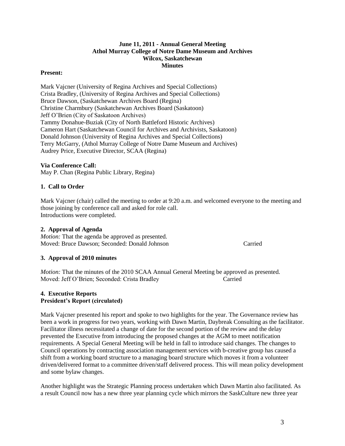## **June 11, 2011 - Annual General Meeting Athol Murray College of Notre Dame Museum and Archives Wilcox, Saskatchewan Minutes**

## **Present:**

Mark Vajcner (University of Regina Archives and Special Collections) Crista Bradley, (University of Regina Archives and Special Collections) Bruce Dawson, (Saskatchewan Archives Board (Regina) Christine Charmbury (Saskatchewan Archives Board (Saskatoon) Jeff O'Brien (City of Saskatoon Archives) Tammy Donahue-Buziak (City of North Battleford Historic Archives) Cameron Hart (Saskatchewan Council for Archives and Archivists, Saskatoon) Donald Johnson (University of Regina Archives and Special Collections) Terry McGarry, (Athol Murray College of Notre Dame Museum and Archives) Audrey Price, Executive Director, SCAA (Regina)

## **Via Conference Call:**

May P. Chan (Regina Public Library, Regina)

## **1. Call to Order**

Mark Vajcner (chair) called the meeting to order at 9:20 a.m. and welcomed everyone to the meeting and those joining by conference call and asked for role call. Introductions were completed.

## **2. Approval of Agenda**

*Motion:* That the agenda be approved as presented. Moved: Bruce Dawson; Seconded: Donald Johnson Carried

## **3. Approval of 2010 minutes**

*Motion:* That the minutes of the 2010 SCAA Annual General Meeting be approved as presented. Moved: Jeff O'Brien; Seconded: Crista Bradley Carried

## **4. Executive Reports President's Report (circulated)**

Mark Vajcner presented his report and spoke to two highlights for the year. The Governance review has been a work in progress for two years, working with Dawn Martin, Daybreak Consulting as the facilitator. Facilitator illness necessitated a change of date for the second portion of the review and the delay prevented the Executive from introducing the proposed changes at the AGM to meet notification requirements. A Special General Meeting will be held in fall to introduce said changes. The changes to Council operations by contracting association management services with b-creative group has caused a shift from a working board structure to a managing board structure which moves it from a volunteer driven/delivered format to a committee driven/staff delivered process. This will mean policy development and some bylaw changes.

Another highlight was the Strategic Planning process undertaken which Dawn Martin also facilitated. As a result Council now has a new three year planning cycle which mirrors the SaskCulture new three year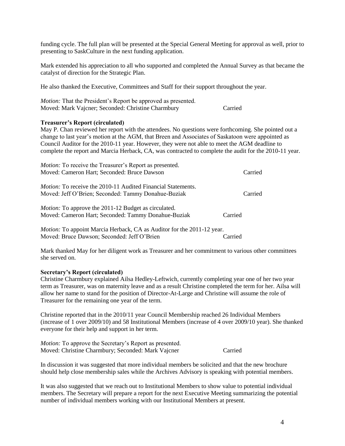funding cycle. The full plan will be presented at the Special General Meeting for approval as well, prior to presenting to SaskCulture in the next funding application.

Mark extended his appreciation to all who supported and completed the Annual Survey as that became the catalyst of direction for the Strategic Plan.

He also thanked the Executive, Committees and Staff for their support throughout the year.

| <i>Motion:</i> That the President's Report be approved as presented. |         |
|----------------------------------------------------------------------|---------|
| Moved: Mark Vajcner; Seconded: Christine Charmbury                   | Carried |

### **Treasurer's Report (circulated)**

May P. Chan reviewed her report with the attendees. No questions were forthcoming. She pointed out a change to last year's motion at the AGM, that Breen and Associates of Saskatoon were appointed as Council Auditor for the 2010-11 year. However, they were not able to meet the AGM deadline to complete the report and Marcia Herback, CA, was contracted to complete the audit for the 2010-11 year.

| <i>Motion:</i> To receive the Treasurer's Report as presented.                |         |
|-------------------------------------------------------------------------------|---------|
| Moved: Cameron Hart; Seconded: Bruce Dawson                                   | Carried |
| <i>Motion:</i> To receive the 2010-11 Audited Financial Statements.           |         |
| Moved: Jeff O'Brien; Seconded: Tammy Donahue-Buziak                           | Carried |
| <i>Motion:</i> To approve the 2011-12 Budget as circulated.                   |         |
| Moved: Cameron Hart; Seconded: Tammy Donahue-Buziak                           | Carried |
| <i>Motion:</i> To appoint Marcia Herback, CA as Auditor for the 2011-12 year. |         |

Moved: Bruce Dawson; Seconded: Jeff O'Brien Carried

Mark thanked May for her diligent work as Treasurer and her commitment to various other committees she served on.

#### **Secretary's Report (circulated)**

Christine Charmbury explained Ailsa Hedley-Leftwich, currently completing year one of her two year term as Treasurer, was on maternity leave and as a result Christine completed the term for her. Ailsa will allow her name to stand for the position of Director-At-Large and Christine will assume the role of Treasurer for the remaining one year of the term.

Christine reported that in the 2010/11 year Council Membership reached 26 Individual Members (increase of 1 over 2009/10) and 58 Institutional Members (increase of 4 over 2009/10 year). She thanked everyone for their help and support in her term.

| <i>Motion:</i> To approve the Secretary's Report as presented. |         |
|----------------------------------------------------------------|---------|
| Moved: Christine Charmbury; Seconded: Mark Vajcner             | Carried |

In discussion it was suggested that more individual members be solicited and that the new brochure should help close membership sales while the Archives Advisory is speaking with potential members.

It was also suggested that we reach out to Institutional Members to show value to potential individual members. The Secretary will prepare a report for the next Executive Meeting summarizing the potential number of individual members working with our Institutional Members at present.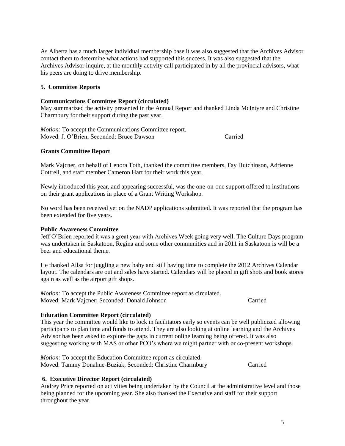As Alberta has a much larger individual membership base it was also suggested that the Archives Advisor contact them to determine what actions had supported this success. It was also suggested that the Archives Advisor inquire, at the monthly activity call participated in by all the provincial advisors, what his peers are doing to drive membership.

## **5. Committee Reports**

### **Communications Committee Report (circulated)**

May summarized the activity presented in the Annual Report and thanked Linda McIntyre and Christine Charmbury for their support during the past year.

*Motion:* To accept the Communications Committee report. Moved: J. O'Brien; Seconded: Bruce Dawson Carried

## **Grants Committee Report**

Mark Vajcner, on behalf of Lenora Toth, thanked the committee members, Fay Hutchinson, Adrienne Cottrell, and staff member Cameron Hart for their work this year.

Newly introduced this year, and appearing successful, was the one-on-one support offered to institutions on their grant applications in place of a Grant Writing Workshop.

No word has been received yet on the NADP applications submitted. It was reported that the program has been extended for five years.

## **Public Awareness Committee**

Jeff O'Brien reported it was a great year with Archives Week going very well. The Culture Days program was undertaken in Saskatoon, Regina and some other communities and in 2011 in Saskatoon is will be a beer and educational theme.

He thanked Ailsa for juggling a new baby and still having time to complete the 2012 Archives Calendar layout. The calendars are out and sales have started. Calendars will be placed in gift shots and book stores again as well as the airport gift shops.

*Motion:* To accept the Public Awareness Committee report as circulated. Moved: Mark Vajcner; Seconded: Donald Johnson Carried

## **Education Committee Report (circulated)**

This year the committee would like to lock in facilitators early so events can be well publicized allowing participants to plan time and funds to attend. They are also looking at online learning and the Archives Advisor has been asked to explore the gaps in current online learning being offered. It was also suggesting working with MAS or other PCO's where we might partner with or co-present workshops.

*Motion:* To accept the Education Committee report as circulated. Moved: Tammy Donahue-Buziak; Seconded: Christine Charmbury Carried

## **6. Executive Director Report (circulated)**

Audrey Price reported on activities being undertaken by the Council at the administrative level and those being planned for the upcoming year. She also thanked the Executive and staff for their support throughout the year.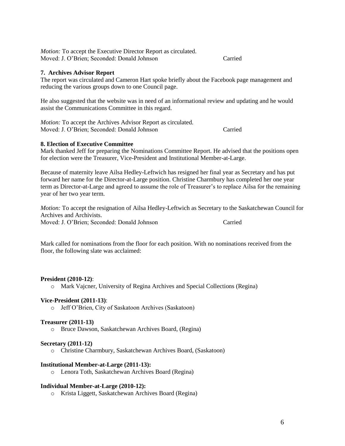*Motion:* To accept the Executive Director Report as circulated. Moved: J. O'Brien; Seconded: Donald Johnson Carried

## **7. Archives Advisor Report**

The report was circulated and Cameron Hart spoke briefly about the Facebook page management and reducing the various groups down to one Council page.

He also suggested that the website was in need of an informational review and updating and he would assist the Communications Committee in this regard.

*Motion:* To accept the Archives Advisor Report as circulated. Moved: J. O'Brien; Seconded: Donald Johnson Carried

### **8. Election of Executive Committee**

Mark thanked Jeff for preparing the Nominations Committee Report. He advised that the positions open for election were the Treasurer, Vice-President and Institutional Member-at-Large.

Because of maternity leave Ailsa Hedley-Leftwich has resigned her final year as Secretary and has put forward her name for the Director-at-Large position. Christine Charmbury has completed her one year term as Director-at-Large and agreed to assume the role of Treasurer's to replace Ailsa for the remaining year of her two year term.

*Motion:* To accept the resignation of Ailsa Hedley-Leftwich as Secretary to the Saskatchewan Council for Archives and Archivists. Moved: J. O'Brien; Seconded: Donald Johnson Carried

Mark called for nominations from the floor for each position. With no nominations received from the floor, the following slate was acclaimed:

#### **President (2010-12)**:

o Mark Vajcner, University of Regina Archives and Special Collections (Regina)

#### **Vice-President (2011-13)**:

o Jeff O'Brien, City of Saskatoon Archives (Saskatoon)

#### **Treasurer (2011-13)**

o Bruce Dawson, Saskatchewan Archives Board, (Regina)

#### **Secretary (2011-12)**

o Christine Charmbury, Saskatchewan Archives Board, (Saskatoon)

### **Institutional Member-at-Large (2011-13):**

o Lenora Toth, Saskatchewan Archives Board (Regina)

#### **Individual Member-at-Large (2010-12):**

o Krista Liggett, Saskatchewan Archives Board (Regina)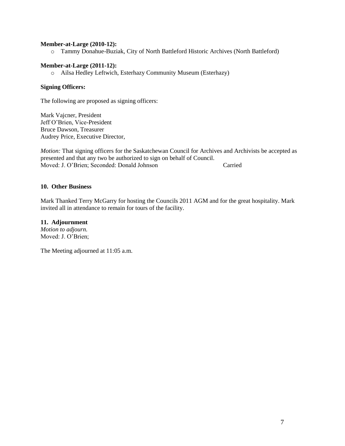### **Member-at-Large (2010-12):**

o Tammy Donahue-Buziak, City of North Battleford Historic Archives (North Battleford)

### **Member-at-Large (2011-12):**

o Ailsa Hedley Leftwich, Esterhazy Community Museum (Esterhazy)

## **Signing Officers:**

The following are proposed as signing officers:

Mark Vajcner, President Jeff O'Brien, Vice-President Bruce Dawson, Treasurer Audrey Price, Executive Director,

*Motion:* That signing officers for the Saskatchewan Council for Archives and Archivists be accepted as presented and that any two be authorized to sign on behalf of Council. Moved: J. O'Brien; Seconded: Donald Johnson Carried

### **10. Other Business**

Mark Thanked Terry McGarry for hosting the Councils 2011 AGM and for the great hospitality. Mark invited all in attendance to remain for tours of the facility.

## **11. Adjournment**

*Motion to adjourn.*  Moved: J. O'Brien;

The Meeting adjourned at 11:05 a.m.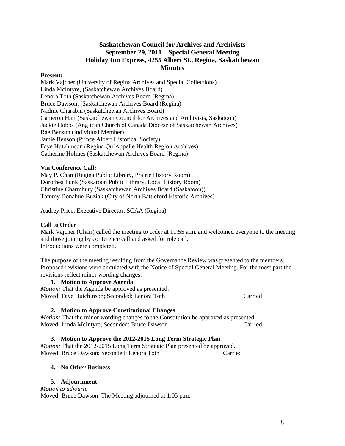## **Saskatchewan Council for Archives and Archivists September 29, 2011 – Special General Meeting Holiday Inn Express, 4255 Albert St., Regina, Saskatchewan Minutes**

### **Present:**

Mark Vajcner (University of Regina Archives and Special Collections) Linda McIntyre, (Saskatchewan Archives Board) Lenora Toth (Saskatchewan Archives Board (Regina) Bruce Dawson, (Saskatchewan Archives Board (Regina) Nadine Charabin (Saskatchewan Archives Board) Cameron Hart (Saskatchewan Council for Archives and Archivists, Saskatoon) Jackie Hobbs [\(Anglican Church of Canada Diocese of Saskatchewan Archives\)](http://sain.scaa.sk.ca/collections/index.php/anglican-church-of-canada-diocese-of-saskatchewan-archives;isdiah) Rae Benson (Individual Member) Jamie Benson (Prince Albert Historical Society) Faye Hutchinson (Regina Qu'Appelle Health Region Archives) Catherine Holmes (Saskatchewan Archives Board (Regina)

## **Via Conference Call:**

May P. Chan (Regina Public Library, Prairie History Room) Dorothea Funk (Saskatoon Public Library, Local History Room) Christine Charmbury (Saskatchewan Archives Board (Saskatoon)) Tammy Donahue-Buziak (City of North Battleford Historic Archives)

Audrey Price, Executive Director, SCAA (Regina)

## **Call to Order**

Mark Vajcner (Chair) called the meeting to order at 11:55 a.m. and welcomed everyone to the meeting and those joining by conference call and asked for role call. Introductions were completed.

The purpose of the meeting resulting from the Governance Review was presented to the members. Proposed revisions were circulated with the Notice of Special General Meeting. For the most part the revisions reflect minor wording changes.

## **1. Motion to Approve Agenda**

*Motion:* That the Agenda be approved as presented. Moved: Faye Hutchinson; Seconded: Lenora Toth Carried

## **2. Motion to Approve Constitutional Changes**

*Motion:* That the minor wording changes to the Constitution be approved as presented. Moved: Linda McIntyre; Seconded: Bruce Dawson Carried

## **3. Motion to Approve the 2012-2015 Long Term Strategic Plan**

*Motion:* That the 2012-2015 Long Term Strategic Plan presented be approved. Moved: Bruce Dawson; Seconded: Lenora Toth Carried

## **4. No Other Business**

## **5. Adjournment**

*Motion to adjourn.*  Moved: Bruce Dawson The Meeting adjourned at 1:05 p.m.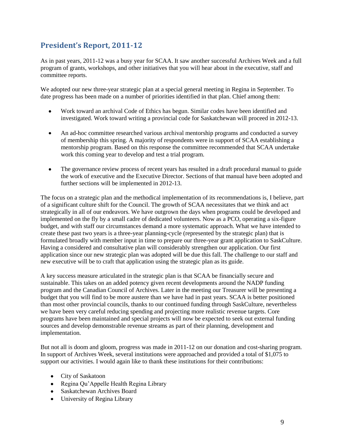# **President's Report, 2011-12**

As in past years, 2011-12 was a busy year for SCAA. It saw another successful Archives Week and a full program of grants, workshops, and other initiatives that you will hear about in the executive, staff and committee reports.

We adopted our new three-year strategic plan at a special general meeting in Regina in September. To date progress has been made on a number of priorities identified in that plan. Chief among them:

- Work toward an archival Code of Ethics has begun. Similar codes have been identified and  $\bullet$ investigated. Work toward writing a provincial code for Saskatchewan will proceed in 2012-13.
- An ad-hoc committee researched various archival mentorship programs and conducted a survey  $\bullet$ of membership this spring. A majority of respondents were in support of SCAA establishing a mentorship program. Based on this response the committee recommended that SCAA undertake work this coming year to develop and test a trial program.
- $\bullet$ The governance review process of recent years has resulted in a draft procedural manual to guide the work of executive and the Executive Director. Sections of that manual have been adopted and further sections will be implemented in 2012-13.

The focus on a strategic plan and the methodical implementation of its recommendations is, I believe, part of a significant culture shift for the Council. The growth of SCAA necessitates that we think and act strategically in all of our endeavors. We have outgrown the days when programs could be developed and implemented on the fly by a small cadre of dedicated volunteers. Now as a PCO, operating a six-figure budget, and with staff our circumstances demand a more systematic approach. What we have intended to create these past two years is a three-year planning-cycle (represented by the strategic plan) that is formulated broadly with member input in time to prepare our three-year grant application to SaskCulture. Having a considered and consultative plan will considerably strengthen our application. Our first application since our new strategic plan was adopted will be due this fall. The challenge to our staff and new executive will be to craft that application using the strategic plan as its guide.

A key success measure articulated in the strategic plan is that SCAA be financially secure and sustainable. This takes on an added potency given recent developments around the NADP funding program and the Canadian Council of Archives. Later in the meeting our Treasurer will be presenting a budget that you will find to be more austere than we have had in past years. SCAA is better positioned than most other provincial councils, thanks to our continued funding through SaskCulture, nevertheless we have been very careful reducing spending and projecting more realistic revenue targets. Core programs have been maintained and special projects will now be expected to seek out external funding sources and develop demonstrable revenue streams as part of their planning, development and implementation.

But not all is doom and gloom, progress was made in 2011-12 on our donation and cost-sharing program. In support of Archives Week, several institutions were approached and provided a total of \$1,075 to support our activities. I would again like to thank these institutions for their contributions:

- City of Saskatoon
- Regina Qu'Appelle Health Regina Library
- Saskatchewan Archives Board
- University of Regina Library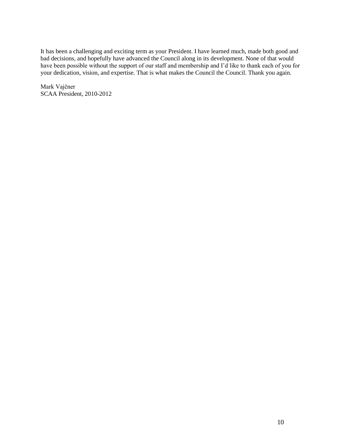It has been a challenging and exciting term as your President. I have learned much, made both good and bad decisions, and hopefully have advanced the Council along in its development. None of that would have been possible without the support of our staff and membership and I'd like to thank each of you for your dedication, vision, and expertise. That is what makes the Council the Council. Thank you again.

Mark Vajčner SCAA President, 2010-2012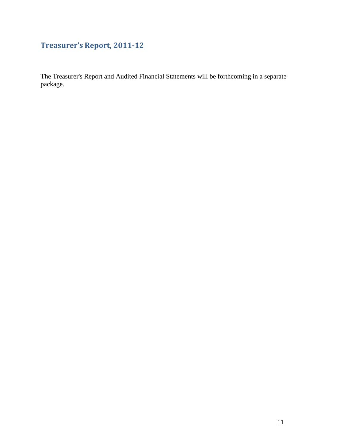# **Treasurer's Report, 2011-12**

The Treasurer's Report and Audited Financial Statements will be forthcoming in a separate package.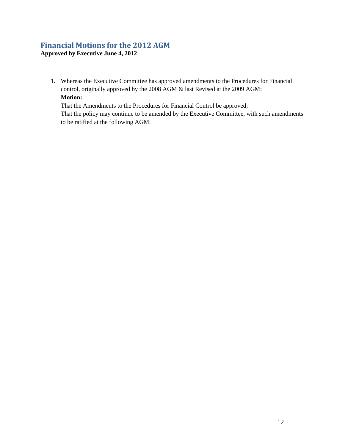## **Financial Motions for the 2012 AGM Approved by Executive June 4, 2012**

1. Whereas the Executive Committee has approved amendments to the Procedures for Financial control, originally approved by the 2008 AGM & last Revised at the 2009 AGM: **Motion:** 

That the Amendments to the Procedures for Financial Control be approved; That the policy may continue to be amended by the Executive Committee, with such amendments to be ratified at the following AGM.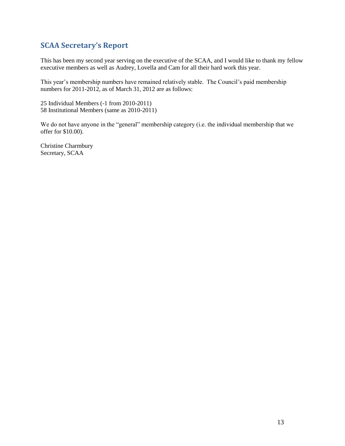# **SCAA Secretary's Report**

This has been my second year serving on the executive of the SCAA, and I would like to thank my fellow executive members as well as Audrey, Lovella and Cam for all their hard work this year.

This year's membership numbers have remained relatively stable. The Council's paid membership numbers for 2011-2012, as of March 31, 2012 are as follows:

25 Individual Members (-1 from 2010-2011) 58 Institutional Members (same as 2010-2011)

We do not have anyone in the "general" membership category (i.e. the individual membership that we offer for \$10.00).

Christine Charmbury Secretary, SCAA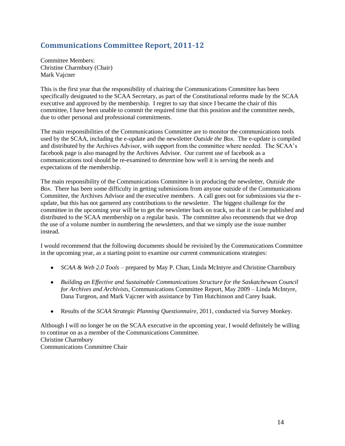# **Communications Committee Report, 2011-12**

Committee Members: Christine Charmbury (Chair) Mark Vajcner

This is the first year that the responsibility of chairing the Communications Committee has been specifically designated to the SCAA Secretary, as part of the Constitutional reforms made by the SCAA executive and approved by the membership. I regret to say that since I became the chair of this committee, I have been unable to commit the required time that this position and the committee needs, due to other personal and professional commitments.

The main responsibilities of the Communications Committee are to monitor the communications tools used by the SCAA, including the e-update and the newsletter *Outside the Box*. The e-update is compiled and distributed by the Archives Advisor, with support from the committee where needed. The SCAA's facebook page is also managed by the Archives Advisor. Our current use of facebook as a communications tool should be re-examined to determine how well it is serving the needs and expectations of the membership.

The main responsibility of the Communications Committee is in producing the newsletter, *Outside the Box*. There has been some difficulty in getting submissions from anyone outside of the Communications Committee, the Archives Advisor and the executive members. A call goes out for submissions via the eupdate, but this has not garnered any contributions to the newsletter. The biggest challenge for the committee in the upcoming year will be to get the newsletter back on track, so that it can be published and distributed to the SCAA membership on a regular basis. The committee also recommends that we drop the use of a volume number in numbering the newsletters, and that we simply use the issue number instead.

I would recommend that the following documents should be revisited by the Communications Committee in the upcoming year, as a starting point to examine our current communications strategies:

- *SCAA & Web 2.0 Tools* prepared by May P. Chan, Linda McIntyre and Christine Charmbury
- *Building an Effective and Sustainable Communications Structure for the Saskatchewan Council for Archives and Archivists*, Communications Committee Report, May 2009 – Linda McIntyre, Dana Turgeon, and Mark Vajcner with assistance by Tim Hutchinson and Carey Isaak.
- Results of the *SCAA Strategic Planning Questionnaire*, 2011, conducted via Survey Monkey.  $\bullet$

Although I will no longer be on the SCAA executive in the upcoming year, I would definitely be willing to continue on as a member of the Communications Committee. Christine Charmbury Communications Committee Chair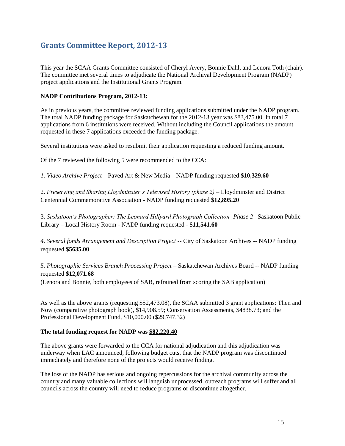# **Grants Committee Report, 2012-13**

This year the SCAA Grants Committee consisted of Cheryl Avery, Bonnie Dahl, and Lenora Toth (chair). The committee met several times to adjudicate the National Archival Development Program (NADP) project applications and the Institutional Grants Program.

## **NADP Contributions Program, 2012-13:**

As in previous years, the committee reviewed funding applications submitted under the NADP program. The total NADP funding package for Saskatchewan for the 2012-13 year was \$83,475.00. In total 7 applications from 6 institutions were received. Without including the Council applications the amount requested in these 7 applications exceeded the funding package.

Several institutions were asked to resubmit their application requesting a reduced funding amount.

Of the 7 reviewed the following 5 were recommended to the CCA:

*1. Video Archive Project –* Paved Art & New Media – NADP funding requested **\$10,329.60**

2. *Preserving and Sharing Lloydminster's Televised History (phase 2) –* Lloydminster and District Centennial Commemorative Association - NADP funding requested **\$12,895.20**

3. *Saskatoon's Photographer: The Leonard Hillyard Photograph Collection- Phase 2 –*Saskatoon Public Library – Local History Room - NADP funding requested - **\$11,541.60**

*4. Several fonds Arrangement and Description Project --* City of Saskatoon Archives -- NADP funding requested **\$5635.00**

*5. Photographic Services Branch Processing Project –* Saskatchewan Archives Board -- NADP funding requested **\$12,071.68**

(Lenora and Bonnie, both employees of SAB, refrained from scoring the SAB application)

As well as the above grants (requesting \$52,473.08), the SCAA submitted 3 grant applications: Then and Now (comparative photograph book), \$14,908.59; Conservation Assessments, \$4838.73; and the Professional Development Fund, \$10,000.00 (\$29,747.32)

## **The total funding request for NADP was \$82,220.40**

The above grants were forwarded to the CCA for national adjudication and this adjudication was underway when LAC announced, following budget cuts, that the NADP program was discontinued immediately and therefore none of the projects would receive finding.

The loss of the NADP has serious and ongoing repercussions for the archival community across the country and many valuable collections will languish unprocessed, outreach programs will suffer and all councils across the country will need to reduce programs or discontinue altogether.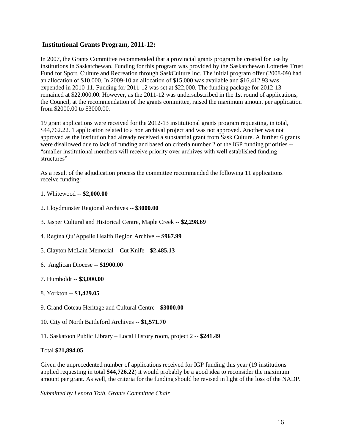## **Institutional Grants Program, 2011-12:**

In 2007, the Grants Committee recommended that a provincial grants program be created for use by institutions in Saskatchewan. Funding for this program was provided by the Saskatchewan Lotteries Trust Fund for Sport, Culture and Recreation through SaskCulture Inc. The initial program offer (2008-09) had an allocation of \$10,000. In 2009-10 an allocation of \$15,000 was available and \$16,412.93 was expended in 2010-11. Funding for 2011-12 was set at \$22,000. The funding package for 2012-13 remained at \$22,000.00. However, as the 2011-12 was undersubscribed in the 1st round of applications, the Council, at the recommendation of the grants committee, raised the maximum amount per application from \$2000.00 to \$3000.00.

19 grant applications were received for the 2012-13 institutional grants program requesting, in total, \$44,762.22. 1 application related to a non archival project and was not approved. Another was not approved as the institution had already received a substantial grant from Sask Culture. A further 6 grants were disallowed due to lack of funding and based on criteria number 2 of the IGP funding priorities -- "smaller institutional members will receive priority over archives with well established funding structures"

As a result of the adjudication process the committee recommended the following 11 applications receive funding:

## 1. Whitewood -- **\$2,000.00**

- 2. Lloydminster Regional Archives -- **\$3000.00**
- 3. Jasper Cultural and Historical Centre, Maple Creek -- **\$2,298.69**
- 4. Regina Qu'Appelle Health Region Archive -- **\$967.99**
- 5. Clayton McLain Memorial Cut Knife --**\$2,485.13**
- 6. Anglican Diocese -- **\$1900.00**
- 7. Humboldt -- **\$3,000.00**
- 8. Yorkton -- **\$1,429.05**
- 9. Grand Coteau Heritage and Cultural Centre-- **\$3000.00**
- 10. City of North Battleford Archives -- **\$1,571.70**
- 11. Saskatoon Public Library Local History room, project 2 -- **\$241.49**

## Total **\$21,894.05**

Given the unprecedented number of applications received for IGP funding this year (19 institutions applied requesting in total **\$44,726.22**) it would probably be a good idea to reconsider the maximum amount per grant. As well, the criteria for the funding should be revised in light of the loss of the NADP.

*Submitted by Lenora Toth, Grants Committee Chair*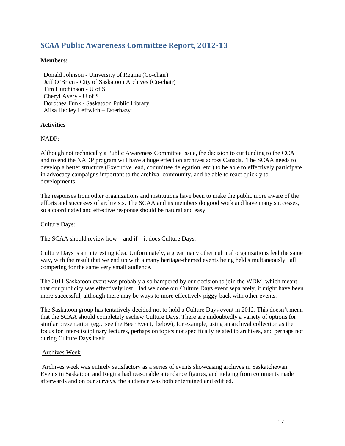# **SCAA Public Awareness Committee Report, 2012-13**

## **Members:**

 Donald Johnson - University of Regina (Co-chair) Jeff O'Brien - City of Saskatoon Archives (Co-chair) Tim Hutchinson - U of S Cheryl Avery - U of S Dorothea Funk - Saskatoon Public Library Ailsa Hedley Leftwich – Esterhazy

## **Activities**

## NADP:

Although not technically a Public Awareness Committee issue, the decision to cut funding to the CCA and to end the NADP program will have a huge effect on archives across Canada. The SCAA needs to develop a better structure (Executive lead, committee delegation, etc.) to be able to effectively participate in advocacy campaigns important to the archival community, and be able to react quickly to developments.

The responses from other organizations and institutions have been to make the public more aware of the efforts and successes of archivists. The SCAA and its members do good work and have many successes, so a coordinated and effective response should be natural and easy.

#### Culture Days:

The SCAA should review how – and if – it does Culture Days.

Culture Days is an interesting idea. Unfortunately, a great many other cultural organizations feel the same way, with the result that we end up with a many heritage-themed events being held simultaneously, all competing for the same very small audience.

The 2011 Saskatoon event was probably also hampered by our decision to join the WDM, which meant that our publicity was effectively lost. Had we done our Culture Days event separately, it might have been more successful, although there may be ways to more effectively piggy-back with other events.

The Saskatoon group has tentatively decided not to hold a Culture Days event in 2012. This doesn't mean that the SCAA should completely eschew Culture Days. There are undoubtedly a variety of options for similar presentation (eg., see the Beer Event, below), for example, using an archival collection as the focus for inter-disciplinary lectures, perhaps on topics not specifically related to archives, and perhaps not during Culture Days itself.

#### Archives Week

Archives week was entirely satisfactory as a series of events showcasing archives in Saskatchewan. Events in Saskatoon and Regina had reasonable attendance figures, and judging from comments made afterwards and on our surveys, the audience was both entertained and edified.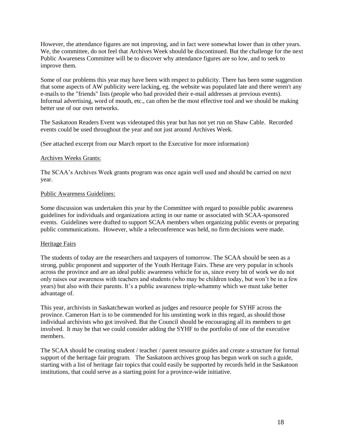However, the attendance figures are not improving, and in fact were somewhat lower than in other years. We, the committee, do not feel that Archives Week should be discontinued. But the challenge for the next Public Awareness Committee will be to discover why attendance figures are so low, and to seek to improve them.

Some of our problems this year may have been with respect to publicity. There has been some suggestion that some aspects of AW publicity were lacking, eg. the website was populated late and there weren't any e-mails to the "friends" lists (people who had provided their e-mail addresses at previous events). Informal advertising, word of mouth, etc., can often be the most effective tool and we should be making better use of our own networks.

The Saskatoon Readers Event was videotaped this year but has not yet run on Shaw Cable. Recorded events could be used throughout the year and not just around Archives Week.

(See attached excerpt from our March report to the Executive for more information)

### Archives Weeks Grants:

The SCAA's Archives Week grants program was once again well used and should be carried on next year.

### Public Awareness Guidelines:

Some discussion was undertaken this year by the Committee with regard to possible public awareness guidelines for individuals and organizations acting in our name or associated with SCAA-sponsored events. Guidelines were drafted to support SCAA members when organizing public events or preparing public communications. However, while a teleconference was held, no firm decisions were made.

#### Heritage Fairs

The students of today are the researchers and taxpayers of tomorrow. The SCAA should be seen as a strong, public proponent and supporter of the Youth Heritage Fairs. These are very popular in schools across the province and are an ideal public awareness vehicle for us, since every bit of work we do not only raises our awareness with teachers and students (who may be children today, but won't be in a few years) but also with their parents. It's a public awareness triple-whammy which we must take better advantage of.

This year, archivists in Saskatchewan worked as judges and resource people for SYHF across the province. Cameron Hart is to be commended for his unstinting work in this regard, as should those individual archivists who got involved. But the Council should be encouraging all its members to get involved. It may be that we could consider adding the SYHF to the portfolio of one of the executive members.

The SCAA should be creating student / teacher / parent resource guides and create a structure for formal support of the heritage fair program. The Saskatoon archives group has begun work on such a guide, starting with a list of heritage fair topics that could easily be supported by records held in the Saskatoon institutions, that could serve as a starting point for a province-wide initiative.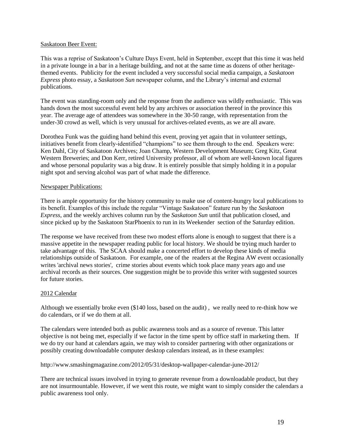### Saskatoon Beer Event:

This was a reprise of Saskatoon's Culture Days Event, held in September, except that this time it was held in a private lounge in a bar in a heritage building, and not at the same time as dozens of other heritagethemed events. Publicity for the event included a very successful social media campaign, a *Saskatoon Express* photo essay, a *Saskatoon Sun* newspaper column, and the Library's internal and external publications.

The event was standing-room only and the response from the audience was wildly enthusiastic. This was hands down the most successful event held by any archives or association thereof in the province this year. The average age of attendees was somewhere in the 30-50 range, with representation from the under-30 crowd as well, which is very unusual for archives-related events, as we are all aware.

Dorothea Funk was the guiding hand behind this event, proving yet again that in volunteer settings, initiatives benefit from clearly-identified "champions" to see them through to the end. Speakers were: Ken Dahl, City of Saskatoon Archives; Joan Champ, Western Development Museum; Greg Kitz, Great Western Breweries; and Don Kerr, retired University professor, all of whom are well-known local figures and whose personal popularity was a big draw. It is entirely possible that simply holding it in a popular night spot and serving alcohol was part of what made the difference.

### Newspaper Publications:

There is ample opportunity for the history community to make use of content-hungry local publications to its benefit. Examples of this include the regular "Vintage Saskatoon" feature run by the *Saskatoon Express*, and the weekly archives column run by the *Saskatoon Sun* until that publication closed, and since picked up by the Saskatoon StarPhoenix to run in its Weekender section of the Saturday edition.

The response we have received from these two modest efforts alone is enough to suggest that there is a massive appetite in the newspaper reading public for local history. We should be trying much harder to take advantage of this. The SCAA should make a concerted effort to develop these kinds of media relationships outside of Saskatoon. For example, one of the readers at the Regina AW event occasionally writes 'archival news stories', crime stories about events which took place many years ago and use archival records as their sources. One suggestion might be to provide this writer with suggested sources for future stories.

## 2012 Calendar

Although we essentially broke even (\$140 loss, based on the audit) , we really need to re-think how we do calendars, or if we do them at all.

The calendars were intended both as public awareness tools and as a source of revenue. This latter objective is not being met, especially if we factor in the time spent by office staff in marketing them. If we do try our hand at calendars again, we may wish to consider partnering with other organizations or possibly creating downloadable computer desktop calendars instead, as in these examples:

http://www.smashingmagazine.com/2012/05/31/desktop-wallpaper-calendar-june-2012/

There are technical issues involved in trying to generate revenue from a downloadable product, but they are not insurmountable. However, if we went this route, we might want to simply consider the calendars a public awareness tool only.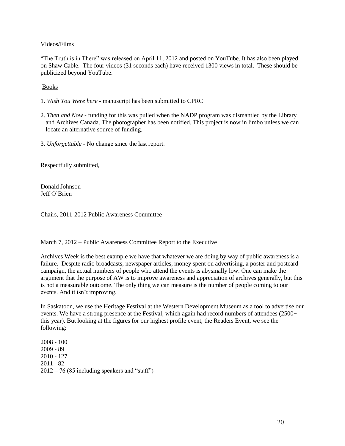## Videos/Films

"The Truth is in There" was released on April 11, 2012 and posted on YouTube. It has also been played on Shaw Cable. The four videos (31 seconds each) have received 1300 views in total. These should be publicized beyond YouTube.

Books

- 1. *Wish You Were here* manuscript has been submitted to CPRC
- 2. *Then and Now* funding for this was pulled when the NADP program was dismantled by the Library and Archives Canada. The photographer has been notified. This project is now in limbo unless we can locate an alternative source of funding.
- 3. *Unforgettable*  No change since the last report.

Respectfully submitted,

Donald Johnson Jeff O'Brien

Chairs, 2011-2012 Public Awareness Committee

March 7, 2012 – Public Awareness Committee Report to the Executive

Archives Week is the best example we have that whatever we are doing by way of public awareness is a failure. Despite radio broadcasts, newspaper articles, money spent on advertising, a poster and postcard campaign, the actual numbers of people who attend the events is abysmally low. One can make the argument that the purpose of AW is to improve awareness and appreciation of archives generally, but this is not a measurable outcome. The only thing we can measure is the number of people coming to our events. And it isn't improving.

In Saskatoon, we use the Heritage Festival at the Western Development Museum as a tool to advertise our events. We have a strong presence at the Festival, which again had record numbers of attendees (2500+ this year). But looking at the figures for our highest profile event, the Readers Event, we see the following:

2008 - 100 2009 - 89 2010 - 127 2011 - 82  $2012 - 76$  (85 including speakers and "staff")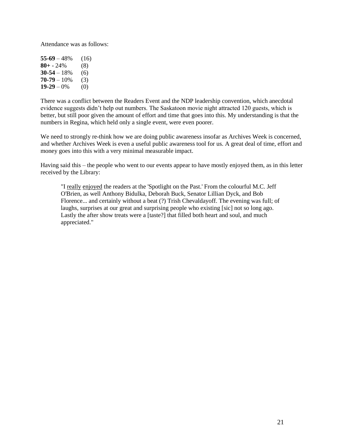Attendance was as follows:

| $55-69-48%$     | (16) |
|-----------------|------|
| $80 + -24%$     | (8)  |
| $30 - 54 - 18%$ | (6)  |
| $70-79-10%$     | (3)  |
| $19 - 29 - 0\%$ | (0)  |

There was a conflict between the Readers Event and the NDP leadership convention, which anecdotal evidence suggests didn't help out numbers. The Saskatoon movie night attracted 120 guests, which is better, but still poor given the amount of effort and time that goes into this. My understanding is that the numbers in Regina, which held only a single event, were even poorer.

We need to strongly re-think how we are doing public awareness insofar as Archives Week is concerned, and whether Archives Week is even a useful public awareness tool for us. A great deal of time, effort and money goes into this with a very minimal measurable impact.

Having said this – the people who went to our events appear to have mostly enjoyed them, as in this letter received by the Library:

"I really enjoyed the readers at the 'Spotlight on the Past.' From the colourful M.C. Jeff O'Brien, as well Anthony Bidulka, Deborah Buck, Senator Lillian Dyck, and Bob Florence... and certainly without a beat (?) Trish Chevaldayoff. The evening was full; of laughs, surprises at our great and surprising people who existing [sic] not so long ago. Lastly the after show treats were a [taste?] that filled both heart and soul, and much appreciated."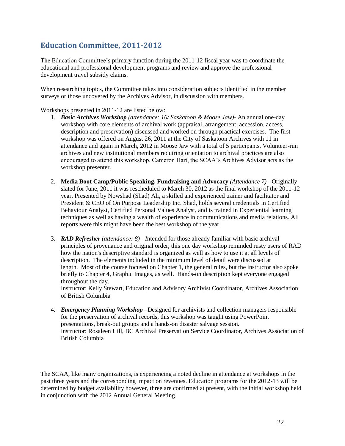# **Education Committee, 2011-2012**

The Education Committee's primary function during the 2011-12 fiscal year was to coordinate the educational and professional development programs and review and approve the professional development travel subsidy claims.

When researching topics, the Committee takes into consideration subjects identified in the member surveys or those uncovered by the Archives Advisor, in discussion with members.

Workshops presented in 2011-12 are listed below:

- 1. *Basic Archives Workshop (attendance: 16/ Saskatoon & Moose Jaw)-* An annual one-day workshop with core elements of archival work (appraisal, arrangement, accession, access, description and preservation) discussed and worked on through practical exercises. The first workshop was offered on August 26, 2011 at the City of Saskatoon Archives with 11 in attendance and again in March, 2012 in Moose Jaw with a total of 5 participants. Volunteer-run archives and new institutional members requiring orientation to archival practices are also encouraged to attend this workshop. Cameron Hart, the SCAA's Archives Advisor acts as the workshop presenter.
- 2. **Media Boot Camp/Public Speaking, Fundraising and Advocacy** *(Attendance 7)* Originally slated for June, 2011 it was rescheduled to March 30, 2012 as the final workshop of the 2011-12 year. Presented by Nowshad (Shad) Ali, a skilled and experienced trainer and facilitator and President & CEO of On Purpose Leadership Inc. Shad, holds several credentials in Certified Behaviour Analyst, Certified Personal Values Analyst, and is trained in Experiential learning techniques as well as having a wealth of experience in communications and media relations. All reports were this might have been the best workshop of the year.
- 3. *RAD Refresher (attendance: 8) - I*ntended for those already familiar with basic archival principles of provenance and original order, this one day workshop reminded rusty users of RAD how the nation's descriptive standard is organized as well as how to use it at all levels of description. The elements included in the minimum level of detail were discussed at length. Most of the course focused on Chapter 1, the general rules, but the instructor also spoke briefly to Chapter 4, Graphic Images, as well. Hands-on description kept everyone engaged throughout the day.

Instructor: Kelly Stewart, Education and Advisory Archivist Coordinator, Archives Association of British Columbia

4. *Emergency Planning Workshop –*Designed for archivists and collection managers responsible for the preservation of archival records, this workshop was taught using PowerPoint presentations, break-out groups and a hands-on disaster salvage session. Instructor: Rosaleen Hill, BC Archival Preservation Service Coordinator, Archives Association of British Columbia

The SCAA, like many organizations, is experiencing a noted decline in attendance at workshops in the past three years and the corresponding impact on revenues. Education programs for the 2012-13 will be determined by budget availability however, three are confirmed at present, with the initial workshop held in conjunction with the 2012 Annual General Meeting.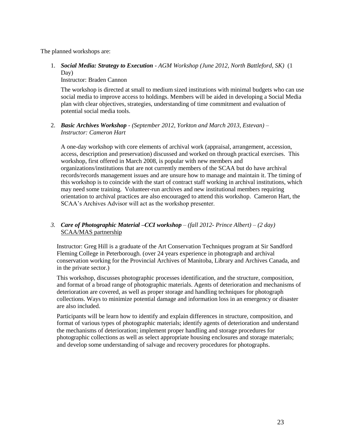The planned workshops are:

1. *Social Media: Strategy to Execution - AGM Workshop (June 2012, North Battleford, SK)* (1 Day)

Instructor: Braden Cannon

The workshop is directed at small to medium sized institutions with minimal budgets who can use social media to improve access to holdings. Members will be aided in developing a Social Media plan with clear objectives, strategies, understanding of time commitment and evaluation of potential social media tools.

## 2. *Basic Archives Workshop - (September 2012, Yorkton and March 2013, Estevan)* – *Instructor: Cameron Hart*

A one-day workshop with core elements of archival work (appraisal, arrangement, accession, access, description and preservation) discussed and worked on through practical exercises. This workshop, first offered in March 2008, is popular with new members and organizations/institutions that are not currently members of the SCAA but do have archival records/records management issues and are unsure how to manage and maintain it. The timing of this workshop is to coincide with the start of contract staff working in archival institutions, which may need some training. Volunteer-run archives and new institutional members requiring orientation to archival practices are also encouraged to attend this workshop. Cameron Hart, the SCAA's Archives Advisor will act as the workshop presenter.

## *3. Care of Photographic Material –CCI workshop – (fall 2012- Prince Albert) – (2 day)* SCAA/MAS partnership

Instructor: Greg Hill is a graduate of the Art Conservation Techniques program at Sir Sandford Fleming College in Peterborough. (over 24 years experience in photograph and archival conservation working for the Provincial Archives of Manitoba, Library and Archives Canada, and in the private sector.)

This workshop, discusses photographic processes identification, and the structure, composition, and format of a broad range of photographic materials. Agents of deterioration and mechanisms of deterioration are covered, as well as proper storage and handling techniques for photograph collections. Ways to minimize potential damage and information loss in an emergency or disaster are also included.

Participants will be learn how to identify and explain differences in structure, composition, and format of various types of photographic materials; identify agents of deterioration and understand the mechanisms of deterioration; implement proper handling and storage procedures for photographic collections as well as select appropriate housing enclosures and storage materials; and develop some understanding of salvage and recovery procedures for photographs.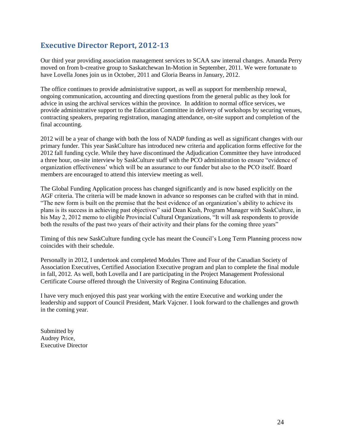# **Executive Director Report, 2012-13**

Our third year providing association management services to SCAA saw internal changes. Amanda Perry moved on from b-creative group to Saskatchewan In-Motion in September, 2011. We were fortunate to have Lovella Jones join us in October, 2011 and Gloria Bearss in January, 2012.

The office continues to provide administrative support, as well as support for membership renewal, ongoing communication, accounting and directing questions from the general public as they look for advice in using the archival services within the province. In addition to normal office services, we provide administrative support to the Education Committee in delivery of workshops by securing venues, contracting speakers, preparing registration, managing attendance, on-site support and completion of the final accounting.

2012 will be a year of change with both the loss of NADP funding as well as significant changes with our primary funder. This year SaskCulture has introduced new criteria and application forms effective for the 2012 fall funding cycle. While they have discontinued the Adjudication Committee they have introduced a three hour, on-site interview by SaskCulture staff with the PCO administration to ensure "evidence of organization effectiveness' which will be an assurance to our funder but also to the PCO itself. Board members are encouraged to attend this interview meeting as well.

The Global Funding Application process has changed significantly and is now based explicitly on the AGF criteria. The criteria will be made known in advance so responses can be crafted with that in mind. "The new form is built on the premise that the best evidence of an organization's ability to achieve its plans is its success in achieving past objectives" said Dean Kush, Program Manager with SaskCulture, in his May 2, 2012 memo to eligible Provincial Cultural Organizations, "It will ask respondents to provide both the results of the past two years of their activity and their plans for the coming three years"

Timing of this new SaskCulture funding cycle has meant the Council's Long Term Planning process now coincides with their schedule.

Personally in 2012, I undertook and completed Modules Three and Four of the Canadian Society of Association Executives, Certified Association Executive program and plan to complete the final module in fall, 2012. As well, both Lovella and I are participating in the Project Management Professional Certificate Course offered through the University of Regina Continuing Education.

I have very much enjoyed this past year working with the entire Executive and working under the leadership and support of Council President, Mark Vajcner. I look forward to the challenges and growth in the coming year.

Submitted by Audrey Price, Executive Director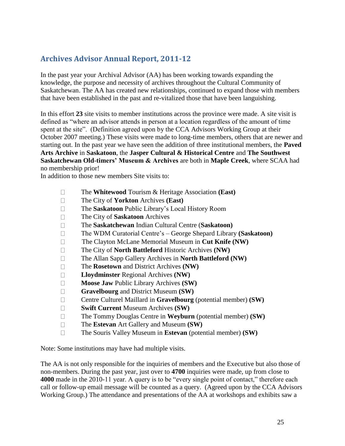# **Archives Advisor Annual Report, 2011-12**

In the past year your Archival Advisor (AA) has been working towards expanding the knowledge, the purpose and necessity of archives throughout the Cultural Community of Saskatchewan. The AA has created new relationships, continued to expand those with members that have been established in the past and re-vitalized those that have been languishing.

In this effort **23** site visits to member institutions across the province were made. A site visit is defined as "where an advisor attends in person at a location regardless of the amount of time spent at the site". (Definition agreed upon by the CCA Advisors Working Group at their October 2007 meeting.) These visits were made to long-time members, others that are newer and starting out. In the past year we have seen the addition of three institutional members, the **Paved Arts Archive** in **Saskatoon**, the **Jasper Cultural & Historical Centre** and **The Southwest Saskatchewan Old-timers' Museum & Archives** are both in **Maple Creek**, where SCAA had no membership prior!

In addition to those new members Site visits to:

- $\Box$ The **Whitewood** Tourism & Heritage Association **(East)**
- $\Box$ The City of **Yorkton** Archives **(East)**
- The **Saskatoon** Public Library's Local History Room  $\Box$
- $\Box$ The City of **Saskatoon** Archives
- The **Saskatchewan** Indian Cultural Centre (**Saskatoon)**  $\Box$
- The WDM Curatorial Centre's George Shepard Library **(Saskatoon)**  $\Box$
- $\Box$ The Clayton McLane Memorial Museum in **Cut Knife (NW)**
- $\Box$ The City of **North Battleford** Historic Archives **(NW)**
- $\Box$ The Allan Sapp Gallery Archives in **North Battleford (NW)**
- The **Rosetown** and District Archives **(NW)**  $\Box$
- $\Box$ **Lloydminster** Regional Archives **(NW)**
- **Moose Jaw** Public Library Archives **(SW)**  $\Box$
- $\Box$ **Gravelbourg** and District Museum **(SW)**
- $\Box$ Centre Culturel Maillard in **Gravelbourg** (potential member) **(SW)**
- **Swift Current** Museum Archives **(SW)**  $\Box$
- The Tommy Douglas Centre in **Weyburn** (potential member) **(SW)**  $\Box$
- The **Estevan** Art Gallery and Museum **(SW)**  $\Box$
- The Souris Valley Museum in **Estevan** (potential member) **(SW)**  $\Box$

Note: Some institutions may have had multiple visits.

The AA is not only responsible for the inquiries of members and the Executive but also those of non-members. During the past year, just over to **4700** inquiries were made, up from close to **4000** made in the 2010-11 year. A query is to be "every single point of contact," therefore each call or follow-up email message will be counted as a query. (Agreed upon by the CCA Advisors Working Group.) The attendance and presentations of the AA at workshops and exhibits saw a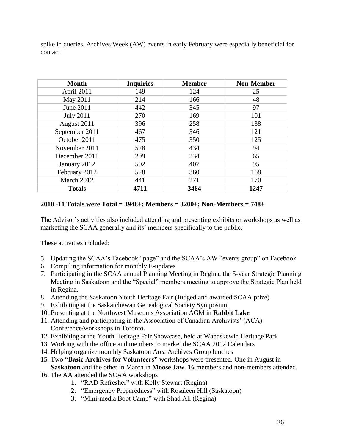spike in queries. Archives Week (AW) events in early February were especially beneficial for contact.

| Month            | <b>Inquiries</b> | <b>Member</b> | <b>Non-Member</b> |
|------------------|------------------|---------------|-------------------|
| April 2011       | 149              | 124           | 25                |
| May 2011         | 214              | 166           | 48                |
| June 2011        | 442              | 345           | 97                |
| <b>July 2011</b> | 270              | 169           | 101               |
| August 2011      | 396              | 258           | 138               |
| September 2011   | 467              | 346           | 121               |
| October 2011     | 475              | 350           | 125               |
| November 2011    | 528              | 434           | 94                |
| December 2011    | 299              | 234           | 65                |
| January 2012     | 502              | 407           | 95                |
| February 2012    | 528              | 360           | 168               |
| March 2012       | 441              | 271           | 170               |
| <b>Totals</b>    | 4711             | 3464          | 1247              |

## **2010 -11 Totals were Total = 3948+; Members = 3200+; Non-Members = 748+**

The Advisor's activities also included attending and presenting exhibits or workshops as well as marketing the SCAA generally and its' members specifically to the public.

These activities included:

- 5. Updating the SCAA's Facebook "page" and the SCAA's AW "events group" on Facebook
- 6. Compiling information for monthly E-updates
- 7. Participating in the SCAA annual Planning Meeting in Regina, the 5-year Strategic Planning Meeting in Saskatoon and the "Special" members meeting to approve the Strategic Plan held in Regina.
- 8. Attending the Saskatoon Youth Heritage Fair (Judged and awarded SCAA prize)
- 9. Exhibiting at the Saskatchewan Genealogical Society Symposium
- 10. Presenting at the Northwest Museums Association AGM in **Rabbit Lake**
- 11. Attending and participating in the Association of Canadian Archivists' (ACA) Conference/workshops in Toronto.
- 12. Exhibiting at the Youth Heritage Fair Showcase, held at Wanaskewin Heritage Park
- 13. Working with the office and members to market the SCAA 2012 Calendars
- 14. Helping organize monthly Saskatoon Area Archives Group lunches
- 15. Two **"Basic Archives for Volunteers"** workshops were presented. One in August in **Saskatoon** and the other in March in **Moose Jaw**. **16** members and non-members attended.
- 16. The AA attended the SCAA workshops
	- 1. "RAD Refresher" with Kelly Stewart (Regina)
	- 2. "Emergency Preparedness" with Rosaleen Hill (Saskatoon)
	- 3. "Mini-media Boot Camp" with Shad Ali (Regina)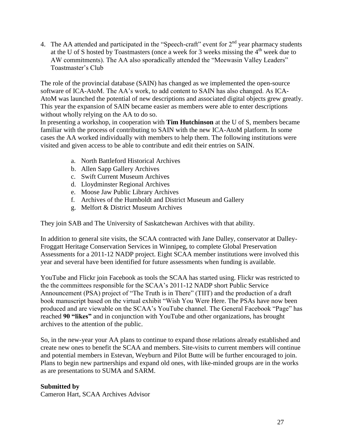4. The AA attended and participated in the "Speech-craft" event for  $2<sup>nd</sup>$  year pharmacy students at the U of S hosted by Toastmasters (once a week for 3 weeks missing the  $4<sup>th</sup>$  week due to AW commitments). The AA also sporadically attended the "Meewasin Valley Leaders" Toastmaster's Club

The role of the provincial database (SAIN) has changed as we implemented the open-source software of ICA-AtoM. The AA's work, to add content to SAIN has also changed. As ICA-AtoM was launched the potential of new descriptions and associated digital objects grew greatly. This year the expansion of SAIN became easier as members were able to enter descriptions without wholly relying on the AA to do so.

In presenting a workshop, in cooperation with **Tim Hutchinson** at the U of S, members became familiar with the process of contributing to SAIN with the new ICA-AtoM platform. In some cases the AA worked individually with members to help them. The following institutions were visited and given access to be able to contribute and edit their entries on SAIN.

- a. North Battleford Historical Archives
- b. Allen Sapp Gallery Archives
- c. Swift Current Museum Archives
- d. Lloydminster Regional Archives
- e. Moose Jaw Public Library Archives
- f. Archives of the Humboldt and District Museum and Gallery
- g. Melfort & District Museum Archives

They join SAB and The University of Saskatchewan Archives with that ability.

In addition to general site visits, the SCAA contracted with Jane Dalley, conservator at Dalley-Froggatt Heritage Conservation Services in Winnipeg, to complete Global Preservation Assessments for a 2011-12 NADP project. Eight SCAA member institutions were involved this year and several have been identified for future assessments when funding is available.

YouTube and Flickr join Facebook as tools the SCAA has started using. Flickr was restricted to the the committees responsible for the SCAA's 2011-12 NADP short Public Service Announcement (PSA) project of "The Truth is in There" (TIIT) and the production of a draft book manuscript based on the virtual exhibit "Wish You Were Here. The PSAs have now been produced and are viewable on the SCAA's YouTube channel. The General Facebook "Page" has reached **90 "likes"** and in conjunction with YouTube and other organizations, has brought archives to the attention of the public.

So, in the new-year your AA plans to continue to expand those relations already established and create new ones to benefit the SCAA and members. Site-visits to current members will continue and potential members in Estevan, Weyburn and Pilot Butte will be further encouraged to join. Plans to begin new partnerships and expand old ones, with like-minded groups are in the works as are presentations to SUMA and SARM.

## **Submitted by**

Cameron Hart, SCAA Archives Advisor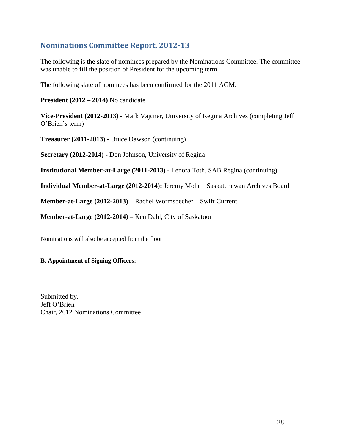# **Nominations Committee Report, 2012-13**

The following is the slate of nominees prepared by the Nominations Committee. The committee was unable to fill the position of President for the upcoming term.

The following slate of nominees has been confirmed for the 2011 AGM:

**President (2012 – 2014)** No candidate

**Vice-President (2012-2013)** - Mark Vajcner, University of Regina Archives (completing Jeff O'Brien's term)

**Treasurer (2011-2013) -** Bruce Dawson (continuing)

**Secretary (2012-2014) -** Don Johnson, University of Regina

**Institutional Member-at-Large (2011-2013) -** Lenora Toth, SAB Regina (continuing)

**Individual Member-at-Large (2012-2014):** Jeremy Mohr – Saskatchewan Archives Board

**Member-at-Large (2012-2013)** – Rachel Wormsbecher – Swift Current

**Member-at-Large (2012-2014) –** Ken Dahl, City of Saskatoon

Nominations will also be accepted from the floor

## **B. Appointment of Signing Officers:**

Submitted by, Jeff O'Brien Chair, 2012 Nominations Committee